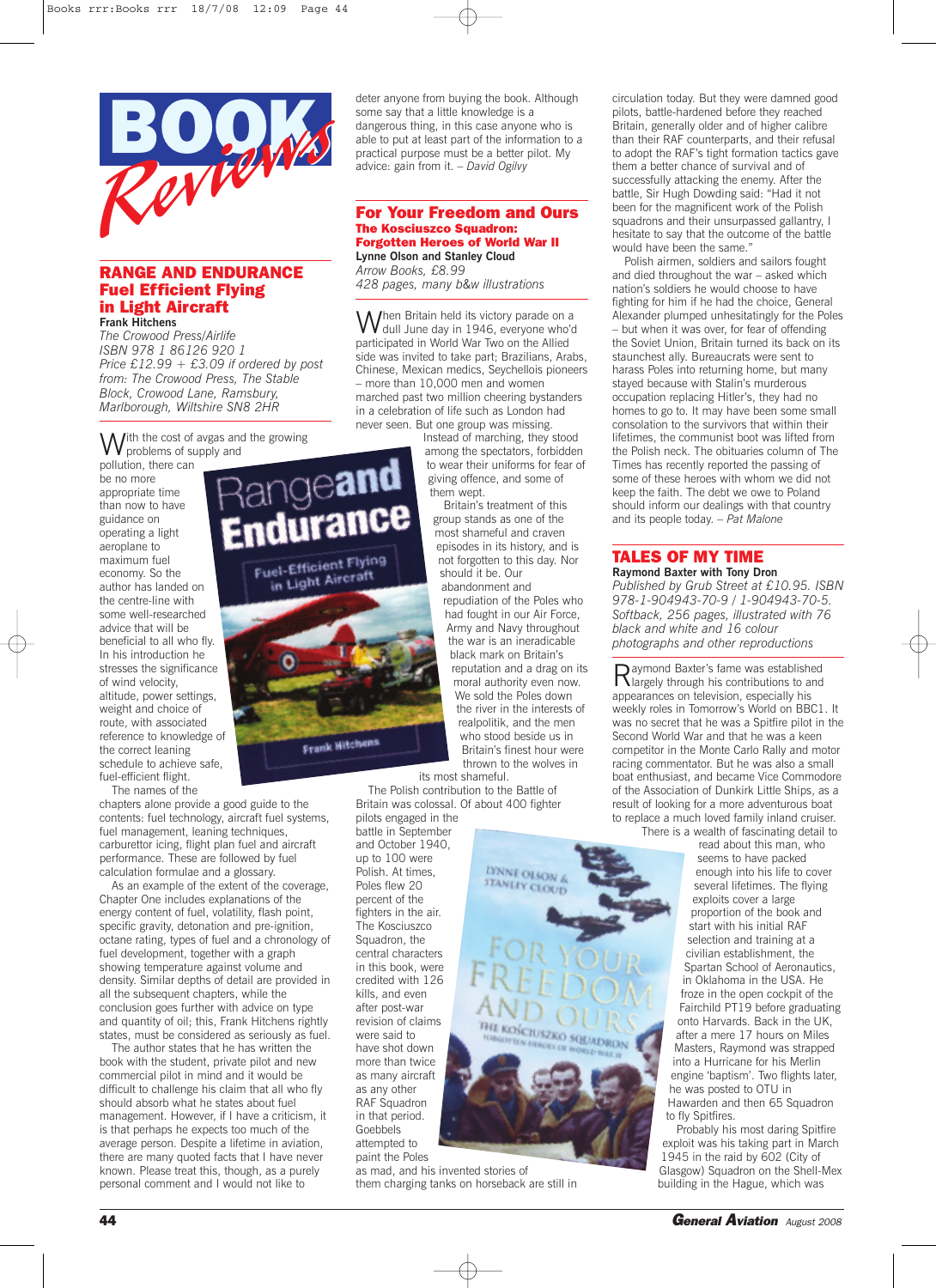

## **RANGE AND ENDURANCE Fuel Efficient Flying in Light Aircraft Frank Hitchens**

*The Crowood Press/Airlife ISBN 978 1 86126 920 1*  $Price E12.99 + E3.09$  *if ordered by post from: The Crowood Press, The Stable Block, Crowood Lane, Ramsbury, Marlborough, Wiltshire SN8 2HR*

With the cost of avgas and the growing<br>problems of supply and

Endurance

Fuel-Efficient Flying el-Efficient rive<br>in Light Aircraft

**Frank Hitchens** 

pollution, there can be no more appropriate time than now to have guidance on operating a light aeroplane to maximum fuel economy. So the author has landed on the centre-line with some well-researched advice that will be beneficial to all who fly. In his introduction he stresses the significance of wind velocity, altitude, power settings, weight and choice of route, with associated reference to knowledge of the correct leaning schedule to achieve safe, fuel-efficient flight. The names of the

chapters alone provide a good guide to the contents: fuel technology, aircraft fuel systems, fuel management, leaning techniques, carburettor icing, flight plan fuel and aircraft performance. These are followed by fuel calculation formulae and a glossary.

As an example of the extent of the coverage, Chapter One includes explanations of the energy content of fuel, volatility, flash point, specific gravity, detonation and pre-ignition, octane rating, types of fuel and a chronology of fuel development, together with a graph showing temperature against volume and density. Similar depths of detail are provided in all the subsequent chapters, while the conclusion goes further with advice on type and quantity of oil; this, Frank Hitchens rightly states, must be considered as seriously as fuel.

The author states that he has written the book with the student, private pilot and new commercial pilot in mind and it would be difficult to challenge his claim that all who fly should absorb what he states about fuel management. However, if I have a criticism, it is that perhaps he expects too much of the average person. Despite a lifetime in aviation, there are many quoted facts that I have never known. Please treat this, though, as a purely personal comment and I would not like to

deter anyone from buying the book. Although some say that a little knowledge is a dangerous thing, in this case anyone who is able to put at least part of the information to a practical purpose must be a better pilot. My advice: gain from it. – *David Ogilvy*

## **For Your Freedom and Ours The Kosciuszco Squadron: Forgotten Heroes of World War II Lynne Olson and Stanley Cloud**

*Arrow Books, £8.99 428 pages, many b&w illustrations*

When Britain held its victory parade on a<br>dull June day in 1946, everyone who'd participated in World War Two on the Allied side was invited to take part; Brazilians, Arabs, Chinese, Mexican medics, Seychellois pioneers – more than 10,000 men and women marched past two million cheering bystanders in a celebration of life such as London had never seen. But one group was missing.

Instead of marching, they stood among the spectators, forbidden to wear their uniforms for fear of giving offence, and some of them wept.

Britain's treatment of this group stands as one of the most shameful and craven episodes in its history, and is not forgotten to this day. Nor should it be. Our

abandonment and repudiation of the Poles who had fought in our Air Force, Army and Navy throughout the war is an ineradicable black mark on Britain's reputation and a drag on its moral authority even now. We sold the Poles down the river in the interests of realpolitik, and the men who stood beside us in Britain's finest hour were thrown to the wolves in

its most shameful. The Polish contribution to the Battle of Britain was colossal. Of about 400 fighter

pilots engaged in the battle in September and October 1940, up to 100 were Polish. At times, Poles flew 20 percent of the fighters in the air. The Kosciuszco Squadron, the central characters in this book, were credited with 126 kills, and even after post-war revision of claims were said to have shot down more than twice as many aircraft as any other RAF Squadron in that period. Goebbels attempted to paint the Poles



as mad, and his invented stories of them charging tanks on horseback are still in circulation today. But they were damned good pilots, battle-hardened before they reached Britain, generally older and of higher calibre than their RAF counterparts, and their refusal to adopt the RAF's tight formation tactics gave them a better chance of survival and of successfully attacking the enemy. After the battle, Sir Hugh Dowding said: "Had it not been for the magnificent work of the Polish squadrons and their unsurpassed gallantry, I hesitate to say that the outcome of the battle would have been the same."

Polish airmen, soldiers and sailors fought and died throughout the war – asked which nation's soldiers he would choose to have fighting for him if he had the choice, General Alexander plumped unhesitatingly for the Poles – but when it was over, for fear of offending the Soviet Union, Britain turned its back on its staunchest ally. Bureaucrats were sent to harass Poles into returning home, but many stayed because with Stalin's murderous occupation replacing Hitler's, they had no homes to go to. It may have been some small consolation to the survivors that within their lifetimes, the communist boot was lifted from the Polish neck. The obituaries column of The Times has recently reported the passing of some of these heroes with whom we did not keep the faith. The debt we owe to Poland should inform our dealings with that country and its people today. – *Pat Malone*

## **TALES OF MY TIME Raymond Baxter with Tony Dron**

*Published by Grub Street at £10.95. ISBN 978-1-904943-70-9 / 1-904943-70-5. Softback, 256 pages, illustrated with 76 black and white and 16 colour photographs and other reproductions*

Raymond Baxter's fame was established largely through his contributions to and appearances on television, especially his weekly roles in Tomorrow's World on BBC1. It was no secret that he was a Spitfire pilot in the Second World War and that he was a keen competitor in the Monte Carlo Rally and motor racing commentator. But he was also a small boat enthusiast, and became Vice Commodore of the Association of Dunkirk Little Ships, as a result of looking for a more adventurous boat to replace a much loved family inland cruiser. There is a wealth of fascinating detail to

read about this man, who seems to have packed enough into his life to cover several lifetimes. The flying exploits cover a large proportion of the book and start with his initial RAF selection and training at a civilian establishment, the Spartan School of Aeronautics, in Oklahoma in the USA. He froze in the open cockpit of the Fairchild PT19 before graduating onto Harvards. Back in the UK, after a mere 17 hours on Miles Masters, Raymond was strapped into a Hurricane for his Merlin engine 'baptism'. Two flights later, he was posted to OTU in Hawarden and then 65 Squadron

to fly Spitfires. Probably his most daring Spitfire exploit was his taking part in March 1945 in the raid by 602 (City of Glasgow) Squadron on the Shell-Mex building in the Hague, which was